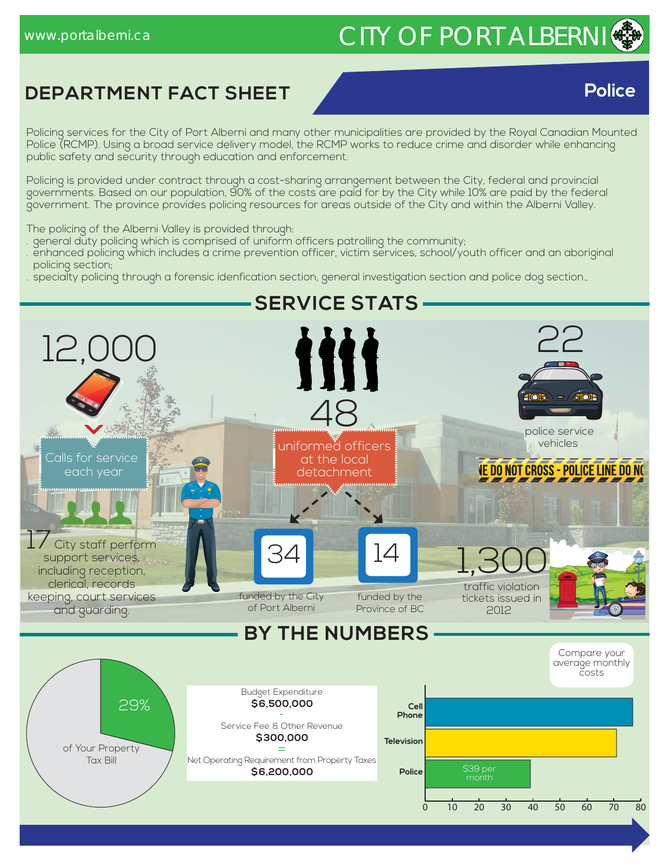# www.portalberni.ca CITY OF PORT ALBERNI

**Police** 

# **DEPARTMENT FACT SHEET Police**

Policing services for the City of Port Alberni and many other municipalities are provided by the Royal Canadian Mounted Police (RCMP). Using a broad service delivery model, the RCMP works to reduce crime and disorder while enhancing public safety and security through education and enforcement.

Policing is provided under contract through a cost-sharing arrangement between the City, federal and provincial governments. Based on our population, 90% of the costs are paid for by the City while 10% are paid by the federal government. The province provides policing resources for areas outside of the City and within the Alberni Valley.

The policing of the Alberni Valley is provided through:

. general duty policing which is comprised of uniform officers patrolling the community;

- . enhanced policing which includes a crime prevention officer, victim services, school/youth officer and an aboriginal policing section;
- . specialty policing through a forensic idenfication section, general investigation section and police dog section.,